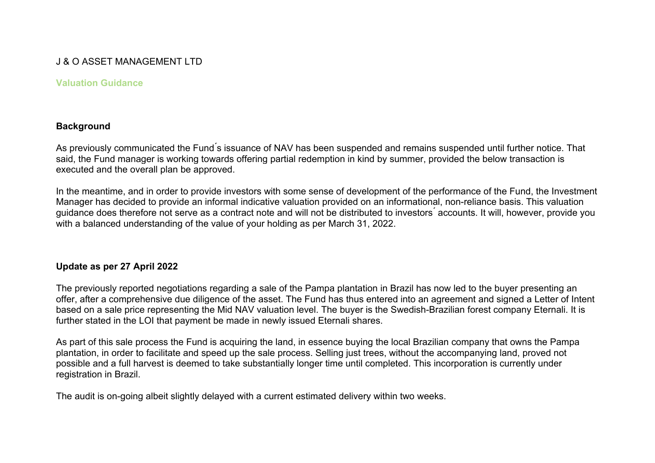# J & O ASSET MANAGEMENT LTD

#### **Valuation Guidance**

## **Background**

As previously communicated the Fund's issuance of NAV has been suspended and remains suspended until further notice. That said, the Fund manager is working towards offering partial redemption in kind by summer, provided the below transaction is executed and the overall plan be approved.

In the meantime, and in order to provide investors with some sense of development of the performance of the Fund, the Investment Manager has decided to provide an informal indicative valuation provided on an informational, non-reliance basis. This valuation guidance does therefore not serve as a contract note and will not be distributed to investors ́accounts. It will, however, provide you with a balanced understanding of the value of your holding as per March 31, 2022.

## **Update as per 27 April 2022**

The previously reported negotiations regarding a sale of the Pampa plantation in Brazil has now led to the buyer presenting an offer, after a comprehensive due diligence of the asset. The Fund has thus entered into an agreement and signed a Letter of Intent based on a sale price representing the Mid NAV valuation level. The buyer is the Swedish-Brazilian forest company Eternali. It is further stated in the LOI that payment be made in newly issued Eternali shares.

As part of this sale process the Fund is acquiring the land, in essence buying the local Brazilian company that owns the Pampa plantation, in order to facilitate and speed up the sale process. Selling just trees, without the accompanying land, proved not possible and a full harvest is deemed to take substantially longer time until completed. This incorporation is currently under registration in Brazil.

The audit is on-going albeit slightly delayed with a current estimated delivery within two weeks.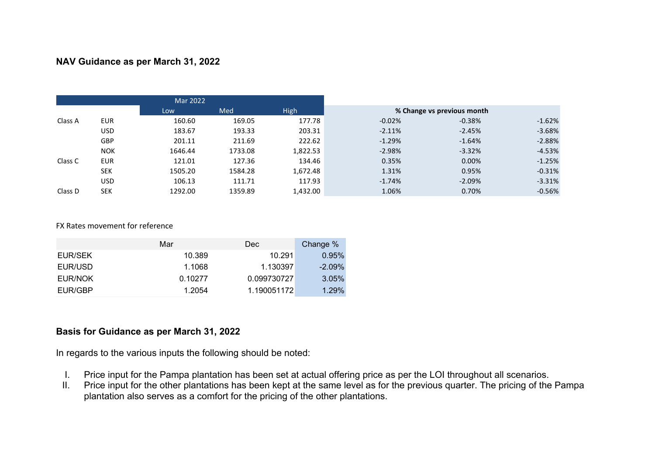### **NAV Guidance as per March 31, 2022**

|         |            | Mar 2022 |         |             |                            |          |          |
|---------|------------|----------|---------|-------------|----------------------------|----------|----------|
|         |            | Low      | Med     | <b>High</b> | % Change vs previous month |          |          |
| Class A | <b>EUR</b> | 160.60   | 169.05  | 177.78      | $-0.02%$                   | $-0.38%$ | $-1.62%$ |
|         | USD        | 183.67   | 193.33  | 203.31      | $-2.11%$                   | $-2.45%$ | $-3.68%$ |
|         | <b>GBP</b> | 201.11   | 211.69  | 222.62      | $-1.29%$                   | $-1.64%$ | $-2.88%$ |
|         | <b>NOK</b> | 1646.44  | 1733.08 | 1,822.53    | $-2.98%$                   | $-3.32%$ | $-4.53%$ |
| Class C | <b>EUR</b> | 121.01   | 127.36  | 134.46      | 0.35%                      | 0.00%    | $-1.25%$ |
|         | <b>SEK</b> | 1505.20  | 1584.28 | 1,672.48    | 1.31%                      | 0.95%    | $-0.31%$ |
|         | <b>USD</b> | 106.13   | 111.71  | 117.93      | $-1.74%$                   | $-2.09%$ | $-3.31%$ |
| Class D | <b>SEK</b> | 1292.00  | 1359.89 | 1,432.00    | 1.06%                      | 0.70%    | $-0.56%$ |

FX Rates movement for reference

|         | Mar     | Dec         | Change %  |
|---------|---------|-------------|-----------|
| EUR/SEK | 10.389  | 10.291      | 0.95%     |
| EUR/USD | 1.1068  | 1.130397    | $-2.09\%$ |
| EUR/NOK | 0.10277 | 0.099730727 | $3.05\%$  |
| EUR/GBP | 1.2054  | 1.190051172 | 1.29%     |

#### **Basis for Guidance as per March 31, 2022**

In regards to the various inputs the following should be noted:

- I. Price input for the Pampa plantation has been set at actual offering price as per the LOI throughout all scenarios.
- II. Price input for the other plantations has been kept at the same level as for the previous quarter. The pricing of the Pampa plantation also serves as a comfort for the pricing of the other plantations.